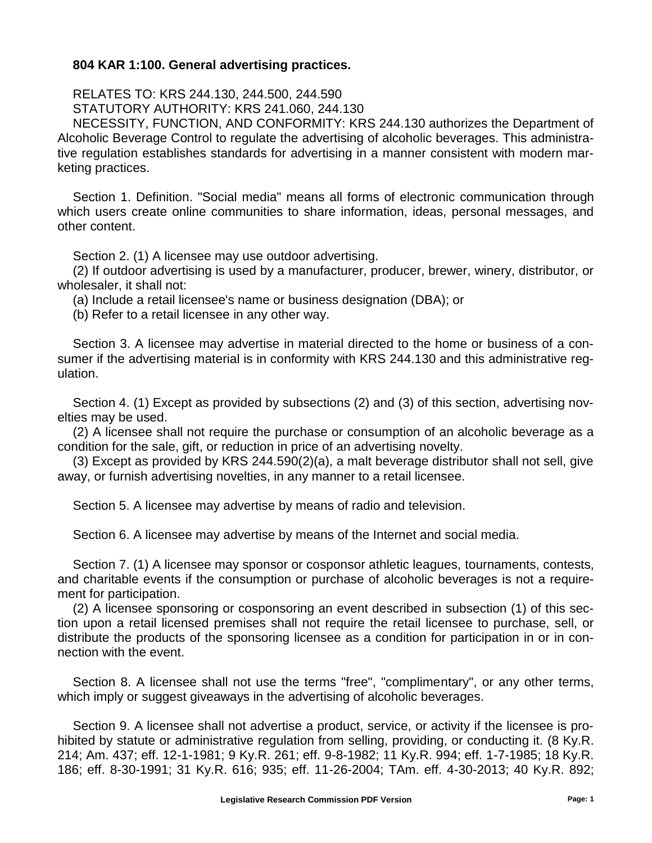## **804 KAR 1:100. General advertising practices.**

RELATES TO: KRS 244.130, 244.500, 244.590 STATUTORY AUTHORITY: KRS 241.060, 244.130

NECESSITY, FUNCTION, AND CONFORMITY: KRS 244.130 authorizes the Department of Alcoholic Beverage Control to regulate the advertising of alcoholic beverages. This administrative regulation establishes standards for advertising in a manner consistent with modern marketing practices.

Section 1. Definition. "Social media" means all forms of electronic communication through which users create online communities to share information, ideas, personal messages, and other content.

Section 2. (1) A licensee may use outdoor advertising.

(2) If outdoor advertising is used by a manufacturer, producer, brewer, winery, distributor, or wholesaler, it shall not:

(a) Include a retail licensee's name or business designation (DBA); or

(b) Refer to a retail licensee in any other way.

Section 3. A licensee may advertise in material directed to the home or business of a consumer if the advertising material is in conformity with KRS 244.130 and this administrative regulation.

Section 4. (1) Except as provided by subsections (2) and (3) of this section, advertising novelties may be used.

(2) A licensee shall not require the purchase or consumption of an alcoholic beverage as a condition for the sale, gift, or reduction in price of an advertising novelty.

(3) Except as provided by KRS 244.590(2)(a), a malt beverage distributor shall not sell, give away, or furnish advertising novelties, in any manner to a retail licensee.

Section 5. A licensee may advertise by means of radio and television.

Section 6. A licensee may advertise by means of the Internet and social media.

Section 7. (1) A licensee may sponsor or cosponsor athletic leagues, tournaments, contests, and charitable events if the consumption or purchase of alcoholic beverages is not a requirement for participation.

(2) A licensee sponsoring or cosponsoring an event described in subsection (1) of this section upon a retail licensed premises shall not require the retail licensee to purchase, sell, or distribute the products of the sponsoring licensee as a condition for participation in or in connection with the event.

Section 8. A licensee shall not use the terms "free", "complimentary", or any other terms, which imply or suggest giveaways in the advertising of alcoholic beverages.

Section 9. A licensee shall not advertise a product, service, or activity if the licensee is prohibited by statute or administrative regulation from selling, providing, or conducting it. (8 Ky.R. 214; Am. 437; eff. 12-1-1981; 9 Ky.R. 261; eff. 9-8-1982; 11 Ky.R. 994; eff. 1-7-1985; 18 Ky.R. 186; eff. 8-30-1991; 31 Ky.R. 616; 935; eff. 11-26-2004; TAm. eff. 4-30-2013; 40 Ky.R. 892;